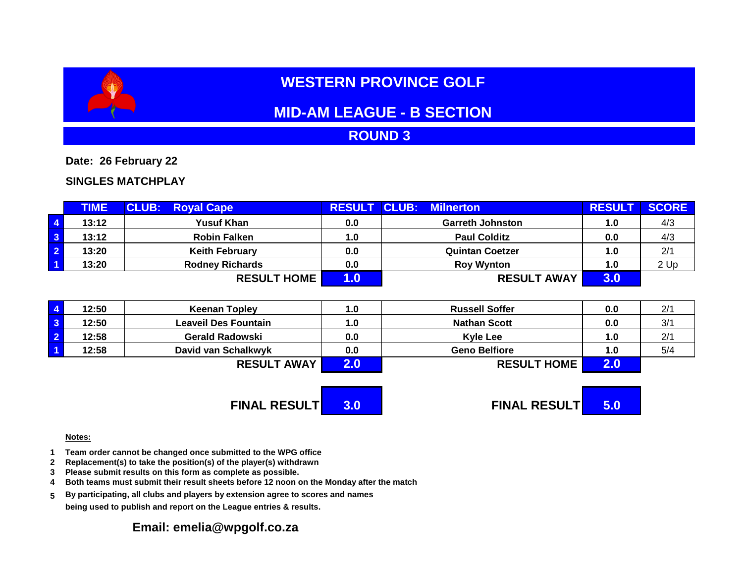# **WESTERN PROVINCE GOLF**

# **MID-AM LEAGUE - B SECTION**

## **ROUND 3**

**Date: 26 February 22**

### **SINGLES MATCHPLAY**

|                         | <b>TIME</b> | <b>CLUB: Royal Cape</b> | <b>RESULT CLUB:</b> | <b>Milnerton</b>        | <b>RESULT</b> | <b>SCORE</b> |
|-------------------------|-------------|-------------------------|---------------------|-------------------------|---------------|--------------|
| $\overline{4}$          | 13:12       | <b>Yusuf Khan</b>       | 0.0                 | <b>Garreth Johnston</b> | 1.0           | 4/3          |
| $\overline{\mathbf{3}}$ | 13:12       | <b>Robin Falken</b>     | 1.0                 | <b>Paul Colditz</b>     | 0.0           | 4/3          |
| $\overline{2}$          | 13:20       | <b>Keith February</b>   | 0.0                 | <b>Quintan Coetzer</b>  | 1.0           | 2/1          |
| $\overline{1}$          | 13:20       | <b>Rodney Richards</b>  | 0.0                 | <b>Roy Wynton</b>       | 1.0           | 2 Up         |
|                         |             | <b>RESULT HOME</b>      |                     | <b>RESULT AWAY</b>      | 3.0           |              |

| 12:50 | <b>Keenan Topley</b> | 1.0 | <b>Russell Soffer</b> | 0.0 | 2/1 |
|-------|----------------------|-----|-----------------------|-----|-----|
| 12:50 | Leaveil Des Fountain | 1.0 | <b>Nathan Scott</b>   | 0.0 | 3/1 |
| 12:58 | Gerald Radowski      | 0.0 | <b>Kyle Lee</b>       | 1.0 | 2/1 |
| 12:58 | David van Schalkwyk  | 0.0 | <b>Geno Belfiore</b>  | 1.0 | 5/4 |
|       | <b>RESULT AWAY</b>   |     | <b>RESULT HOME</b>    |     |     |

**FINAL RESULT 3.0 FINAL RESULT 5.0**

#### **Notes:**

- **1 Team order cannot be changed once submitted to the WPG office**
- **2 Replacement(s) to take the position(s) of the player(s) withdrawn**
- **3 Please submit results on this form as complete as possible.**
- **4 Both teams must submit their result sheets before 12 noon on the Monday after the match**
- **5 By participating, all clubs and players by extension agree to scores and names being used to publish and report on the League entries & results.**

### **Email: emelia@wpgolf.co.za**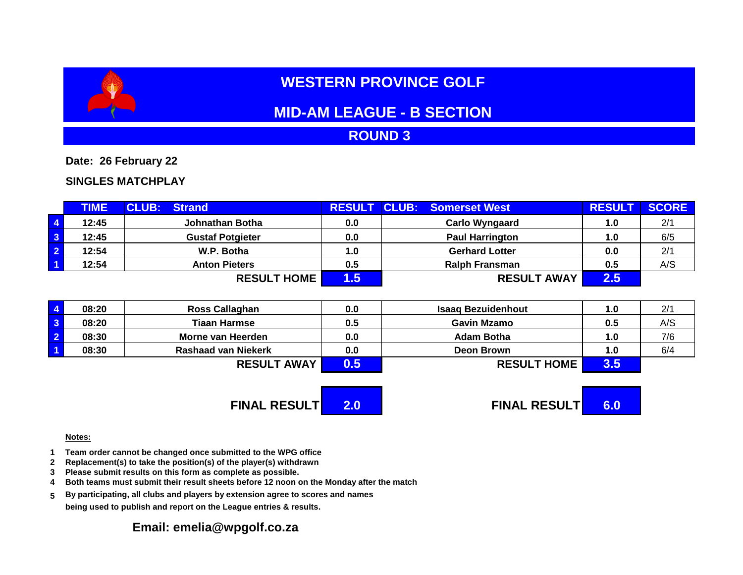# **WESTERN PROVINCE GOLF**

# **MID-AM LEAGUE - B SECTION**

## **ROUND 3**

**Date: 26 February 22**

### **SINGLES MATCHPLAY**

|                         | <b>TIME</b> | <b>CLUB: Strand</b>     |     | <b>RESULT CLUB: Somerset West</b> | <b>RESULT</b> | <b>SCORE</b> |
|-------------------------|-------------|-------------------------|-----|-----------------------------------|---------------|--------------|
| $\vert 4 \vert$         | 12:45       | Johnathan Botha         | 0.0 | <b>Carlo Wyngaard</b>             | 1.0           | 2/1          |
| $\overline{\mathbf{3}}$ | 12:45       | <b>Gustaf Potgieter</b> | 0.0 | <b>Paul Harrington</b>            | 1.0           | 6/5          |
| $\overline{2}$          | 12:54       | W.P. Botha              | 1.0 | <b>Gerhard Lotter</b>             | 0.0           | 2/1          |
| $\overline{1}$          | 12:54       | <b>Anton Pieters</b>    | 0.5 | <b>Ralph Fransman</b>             | 0.5           | A/S          |
|                         |             | <b>RESULT HOME</b>      | .5  | <b>RESULT AWAY</b>                | $2.5^{\circ}$ |              |

| 08:20 | <b>Ross Callaghan</b>      | 0.0 | <b>Isaag Bezuidenhout</b> | 1.0           | 2/1 |
|-------|----------------------------|-----|---------------------------|---------------|-----|
| 08:20 | <b>Tiaan Harmse</b>        | 0.5 | <b>Gavin Mzamo</b>        | 0.5           | A/S |
| 08:30 | Morne van Heerden          | 0.0 | Adam Botha                | 1.0           | 7/6 |
| 08:30 | <b>Rashaad van Niekerk</b> | 0.0 | Deon Brown                | 1.0           | 6/4 |
|       | <b>RESULT AWAY</b>         | 0.5 | <b>RESULT HOME</b>        | $3.5^{\circ}$ |     |

**FINAL RESULT 2.0 FINAL RESULT 6.0**

#### **Notes:**

- **1 Team order cannot be changed once submitted to the WPG office**
- **2 Replacement(s) to take the position(s) of the player(s) withdrawn**
- **3 Please submit results on this form as complete as possible.**
- **4 Both teams must submit their result sheets before 12 noon on the Monday after the match**
- **5 By participating, all clubs and players by extension agree to scores and names being used to publish and report on the League entries & results.**

### **Email: emelia@wpgolf.co.za**